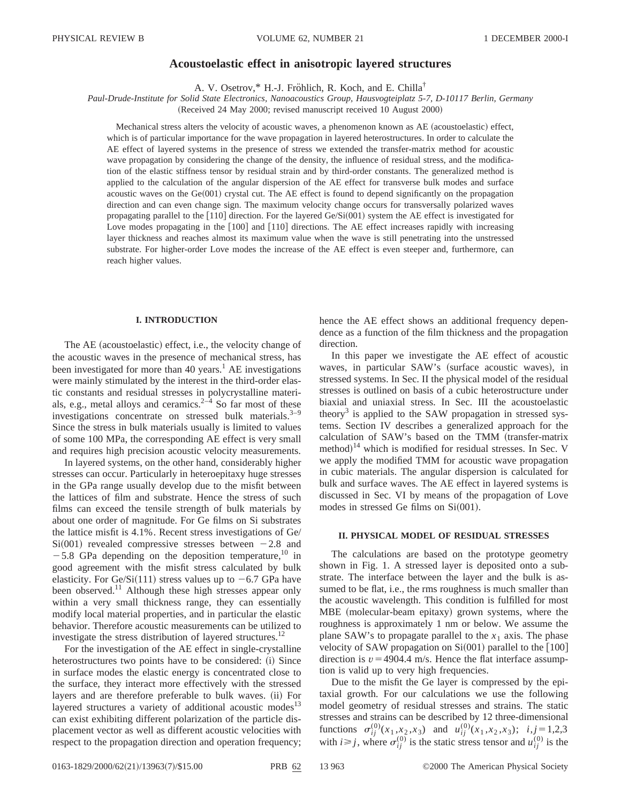# **Acoustoelastic effect in anisotropic layered structures**

A. V. Osetrov,\* H.-J. Fröhlich, R. Koch, and E. Chilla<sup>†</sup>

*Paul-Drude-Institute for Solid State Electronics, Nanoacoustics Group, Hausvogteiplatz 5-7, D-10117 Berlin, Germany* (Received 24 May 2000; revised manuscript received 10 August 2000)

Mechanical stress alters the velocity of acoustic waves, a phenomenon known as AE (acoustoelastic) effect, which is of particular importance for the wave propagation in layered heterostructures. In order to calculate the AE effect of layered systems in the presence of stress we extended the transfer-matrix method for acoustic wave propagation by considering the change of the density, the influence of residual stress, and the modification of the elastic stiffness tensor by residual strain and by third-order constants. The generalized method is applied to the calculation of the angular dispersion of the AE effect for transverse bulk modes and surface acoustic waves on the  $Ge(001)$  crystal cut. The AE effect is found to depend significantly on the propagation direction and can even change sign. The maximum velocity change occurs for transversally polarized waves propagating parallel to the  $[110]$  direction. For the layered Ge/Si $(001)$  system the AE effect is investigated for Love modes propagating in the  $[100]$  and  $[110]$  directions. The AE effect increases rapidly with increasing layer thickness and reaches almost its maximum value when the wave is still penetrating into the unstressed substrate. For higher-order Love modes the increase of the AE effect is even steeper and, furthermore, can reach higher values.

#### **I. INTRODUCTION**

The  $AE$  (acoustoelastic) effect, i.e., the velocity change of the acoustic waves in the presence of mechanical stress, has been investigated for more than 40 years.<sup>1</sup> AE investigations were mainly stimulated by the interest in the third-order elastic constants and residual stresses in polycrystalline materials, e.g., metal alloys and ceramics. $2^{-4}$  So far most of these investigations concentrate on stressed bulk materials. $3-9$ Since the stress in bulk materials usually is limited to values of some 100 MPa, the corresponding AE effect is very small and requires high precision acoustic velocity measurements.

In layered systems, on the other hand, considerably higher stresses can occur. Particularly in heteroepitaxy huge stresses in the GPa range usually develop due to the misfit between the lattices of film and substrate. Hence the stress of such films can exceed the tensile strength of bulk materials by about one order of magnitude. For Ge films on Si substrates the lattice misfit is 4.1%. Recent stress investigations of Ge/  $Si(001)$  revealed compressive stresses between  $-2.8$  and  $-5.8$  GPa depending on the deposition temperature,<sup>10</sup> in good agreement with the misfit stress calculated by bulk elasticity. For Ge/Si(111) stress values up to  $-6.7$  GPa have been observed.<sup>11</sup> Although these high stresses appear only within a very small thickness range, they can essentially modify local material properties, and in particular the elastic behavior. Therefore acoustic measurements can be utilized to investigate the stress distribution of layered structures.<sup>12</sup>

For the investigation of the AE effect in single-crystalline heterostructures two points have to be considered: (i) Since in surface modes the elastic energy is concentrated close to the surface, they interact more effectively with the stressed layers and are therefore preferable to bulk waves. (ii) For layered structures a variety of additional acoustic modes<sup>13</sup> can exist exhibiting different polarization of the particle displacement vector as well as different acoustic velocities with respect to the propagation direction and operation frequency; hence the AE effect shows an additional frequency dependence as a function of the film thickness and the propagation direction.

In this paper we investigate the AE effect of acoustic waves, in particular SAW's (surface acoustic waves), in stressed systems. In Sec. II the physical model of the residual stresses is outlined on basis of a cubic heterostructure under biaxial and uniaxial stress. In Sec. III the acoustoelastic theory<sup>3</sup> is applied to the SAW propagation in stressed systems. Section IV describes a generalized approach for the calculation of SAW's based on the TMM (transfer-matrix method) $14$  which is modified for residual stresses. In Sec. V we apply the modified TMM for acoustic wave propagation in cubic materials. The angular dispersion is calculated for bulk and surface waves. The AE effect in layered systems is discussed in Sec. VI by means of the propagation of Love modes in stressed Ge films on  $Si(001)$ .

## **II. PHYSICAL MODEL OF RESIDUAL STRESSES**

The calculations are based on the prototype geometry shown in Fig. 1. A stressed layer is deposited onto a substrate. The interface between the layer and the bulk is assumed to be flat, *i.e.*, the rms roughness is much smaller than the acoustic wavelength. This condition is fulfilled for most MBE (molecular-beam epitaxy) grown systems, where the roughness is approximately 1 nm or below. We assume the plane SAW's to propagate parallel to the  $x_1$  axis. The phase velocity of SAW propagation on  $Si(001)$  parallel to the [100] direction is  $v = 4904.4$  m/s. Hence the flat interface assumption is valid up to very high frequencies.

Due to the misfit the Ge layer is compressed by the epitaxial growth. For our calculations we use the following model geometry of residual stresses and strains. The static stresses and strains can be described by 12 three-dimensional functions  $\sigma_{ij}^{(0)}(x_1, x_2, x_3)$  and  $u_{ij}^{(0)}(x_1, x_2, x_3)$ ;  $i, j = 1,2,3$ with  $i \ge j$ , where  $\sigma_{ij}^{(0)}$  is the static stress tensor and  $u_{ij}^{(0)}$  is the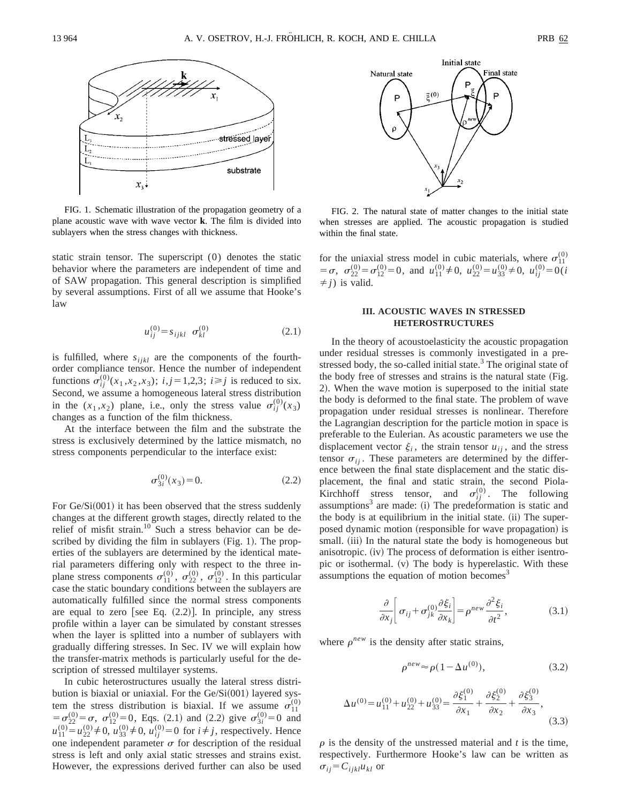

FIG. 1. Schematic illustration of the propagation geometry of a plane acoustic wave with wave vector **k**. The film is divided into sublayers when the stress changes with thickness.

static strain tensor. The superscript (0) denotes the static behavior where the parameters are independent of time and of SAW propagation. This general description is simplified by several assumptions. First of all we assume that Hooke's law

$$
u_{ij}^{(0)} = s_{ijkl} \sigma_{kl}^{(0)} \tag{2.1}
$$

is fulfilled, where  $s_{ijkl}$  are the components of the fourthorder compliance tensor. Hence the number of independent functions  $\sigma_{ij}^{(0)}(x_1, x_2, x_3)$ ;  $i, j = 1,2,3$ ;  $i \ge j$  is reduced to six. Second, we assume a homogeneous lateral stress distribution in the  $(x_1, x_2)$  plane, i.e., only the stress value  $\sigma_{ij}^{(0)}(x_3)$ changes as a function of the film thickness.

At the interface between the film and the substrate the stress is exclusively determined by the lattice mismatch, no stress components perpendicular to the interface exist:

$$
\sigma_{3i}^{(0)}(x_3) = 0. \tag{2.2}
$$

For  $Ge/Si(001)$  it has been observed that the stress suddenly changes at the different growth stages, directly related to the relief of misfit strain.<sup>10</sup> Such a stress behavior can be described by dividing the film in sublayers  $(Fig. 1)$ . The properties of the sublayers are determined by the identical material parameters differing only with respect to the three inplane stress components  $\sigma_{11}^{(0)}$ ,  $\sigma_{22}^{(0)}$ ,  $\sigma_{12}^{(0)}$ . In this particular case the static boundary conditions between the sublayers are automatically fulfilled since the normal stress components are equal to zero [see Eq.  $(2.2)$ ]. In principle, any stress profile within a layer can be simulated by constant stresses when the layer is splitted into a number of sublayers with gradually differing stresses. In Sec. IV we will explain how the transfer-matrix methods is particularly useful for the description of stressed multilayer systems.

In cubic heterostructures usually the lateral stress distribution is biaxial or uniaxial. For the  $Ge/Si(001)$  layered system the stress distribution is biaxial. If we assume  $\sigma_{11}^{(0)}$  $=\sigma_{22}^{(0)}=\sigma$ ,  $\sigma_{12}^{(0)}=0$ , Eqs. (2.1) and (2.2) give  $\sigma_{3i}^{(0)}=0$  and  $u_{11}^{(0)} = u_{22}^{(0)} \neq 0$ ,  $u_{33}^{(0)} \neq 0$ ,  $u_{ij}^{(0)} = 0$  for  $i \neq j$ , respectively. Hence one independent parameter  $\sigma$  for description of the residual stress is left and only axial static stresses and strains exist. However, the expressions derived further can also be used



FIG. 2. The natural state of matter changes to the initial state when stresses are applied. The acoustic propagation is studied within the final state.

for the uniaxial stress model in cubic materials, where  $\sigma_{11}^{(0)}$  $= \sigma$ ,  $\sigma_{22}^{(0)} = \sigma_{12}^{(0)} = 0$ , and  $u_{11}^{(0)} \neq 0$ ,  $u_{22}^{(0)} = u_{33}^{(0)} \neq 0$ ,  $u_{ij}^{(0)} = 0$  (*i*  $\neq$  *j*) is valid.

## **III. ACOUSTIC WAVES IN STRESSED HETEROSTRUCTURES**

In the theory of acoustoelasticity the acoustic propagation under residual stresses is commonly investigated in a prestressed body, the so-called initial state. $3$  The original state of the body free of stresses and strains is the natural state (Fig. 2). When the wave motion is superposed to the initial state the body is deformed to the final state. The problem of wave propagation under residual stresses is nonlinear. Therefore the Lagrangian description for the particle motion in space is preferable to the Eulerian. As acoustic parameters we use the displacement vector  $\xi_i$ , the strain tensor  $u_{ij}$ , and the stress tensor  $\sigma_{ii}$ . These parameters are determined by the difference between the final state displacement and the static displacement, the final and static strain, the second Piola-Kirchhoff stress tensor, and  $\sigma_{ij}^{(0)}$ . The following assumptions<sup>3</sup> are made:  $(i)$  The predeformation is static and the body is at equilibrium in the initial state. (ii) The superposed dynamic motion (responsible for wave propagation) is small. (iii) In the natural state the body is homogeneous but anisotropic. (iv) The process of deformation is either isentropic or isothermal.  $(v)$  The body is hyperelastic. With these assumptions the equation of motion becomes $3$ 

$$
\frac{\partial}{\partial x_j} \left[ \sigma_{ij} + \sigma_{jk}^{(0)} \frac{\partial \xi_i}{\partial x_k} \right] = \rho^{new} \frac{\partial^2 \xi_i}{\partial t^2},
$$
\n(3.1)

where  $\rho^{new}$  is the density after static strains,

$$
\rho^{new} \approx \rho (1 - \Delta u^{(0)}),\tag{3.2}
$$

$$
\Delta u^{(0)} = u_{11}^{(0)} + u_{22}^{(0)} + u_{33}^{(0)} = \frac{\partial \xi_1^{(0)}}{\partial x_1} + \frac{\partial \xi_2^{(0)}}{\partial x_2} + \frac{\partial \xi_3^{(0)}}{\partial x_3},
$$
\n(3.3)

 $\rho$  is the density of the unstressed material and  $t$  is the time, respectively. Furthermore Hooke's law can be written as  $\sigma_{ij} = C_{ijkl} u_{kl}$  or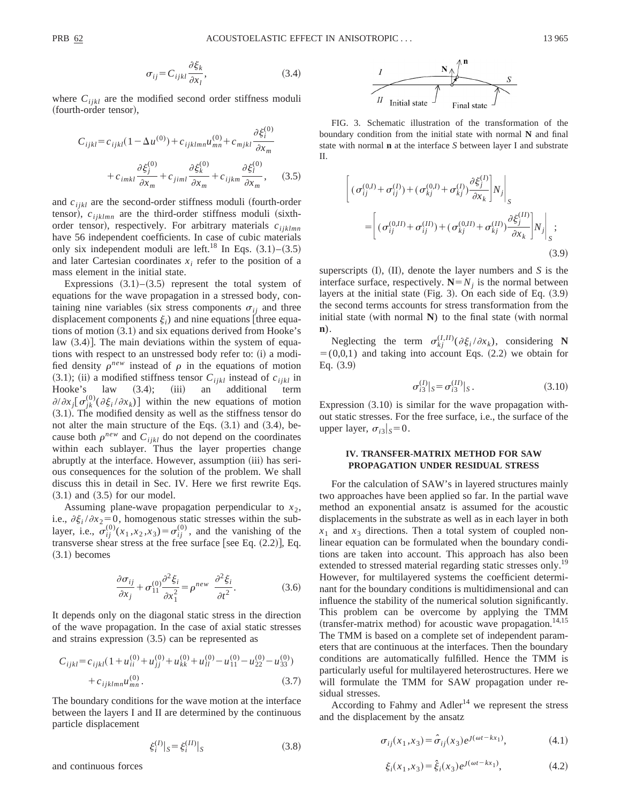$$
\sigma_{ij} = C_{ijkl} \frac{\partial \xi_k}{\partial x_l},\tag{3.4}
$$

where  $C_{ijkl}$  are the modified second order stiffness moduli (fourth-order tensor),

$$
C_{ijkl} = c_{ijkl}(1 - \Delta u^{(0)}) + c_{ijklmn}u_{mn}^{(0)} + c_{mjkl}\frac{\partial \xi_i^{(0)}}{\partial x_m}
$$

$$
+ c_{imkl}\frac{\partial \xi_j^{(0)}}{\partial x_m} + c_{jiml}\frac{\partial \xi_k^{(0)}}{\partial x_m} + c_{ijkm}\frac{\partial \xi_l^{(0)}}{\partial x_m}, \qquad (3.5)
$$

and  $c_{ijkl}$  are the second-order stiffness moduli (fourth-order tensor),  $c_{ijklmn}$  are the third-order stiffness moduli (sixthorder tensor), respectively. For arbitrary materials  $c_{ijklmn}$ have 56 independent coefficients. In case of cubic materials only six independent moduli are left.<sup>18</sup> In Eqs.  $(3.1)$ – $(3.5)$ and later Cartesian coordinates  $x_i$  refer to the position of a mass element in the initial state.

Expressions  $(3.1)$ – $(3.5)$  represent the total system of equations for the wave propagation in a stressed body, containing nine variables (six stress components  $\sigma_{ij}$  and three displacement components  $\xi_i$ ) and nine equations [three equations of motion  $(3.1)$  and six equations derived from Hooke's law  $(3.4)$ . The main deviations within the system of equations with respect to an unstressed body refer to: (i) a modified density  $\rho^{new}$  instead of  $\rho$  in the equations of motion  $(3.1);$  (ii) a modified stiffness tensor  $C_{ijkl}$  instead of  $c_{ijkl}$  in Hooke's law  $(3.4);$  (iii) an additional term law (3.4); (iii) an additional term  $\partial/\partial x_j [\sigma_{jk}^{(0)}(\partial \xi_i/\partial x_k)]$  within the new equations of motion  $(3.1)$ . The modified density as well as the stiffness tensor do not alter the main structure of the Eqs.  $(3.1)$  and  $(3.4)$ , because both  $\rho^{new}$  and  $C_{ijkl}$  do not depend on the coordinates within each sublayer. Thus the layer properties change abruptly at the interface. However, assumption (iii) has serious consequences for the solution of the problem. We shall discuss this in detail in Sec. IV. Here we first rewrite Eqs.  $(3.1)$  and  $(3.5)$  for our model.

Assuming plane-wave propagation perpendicular to  $x_2$ , i.e.,  $\partial \xi_i / \partial x_2 = 0$ , homogenous static stresses within the sublayer, i.e.,  $\sigma_{ij}^{(0)}(x_1, x_2, x_3) = \sigma_{ij}^{(0)}$ , and the vanishing of the transverse shear stress at the free surface [see Eq.  $(2.2)$ ], Eq.  $(3.1)$  becomes

$$
\frac{\partial \sigma_{ij}}{\partial x_j} + \sigma_{11}^{(0)} \frac{\partial^2 \xi_i}{\partial x_1^2} = \rho^{new} \frac{\partial^2 \xi_i}{\partial t^2}.
$$
 (3.6)

It depends only on the diagonal static stress in the direction of the wave propagation. In the case of axial static stresses and strains expression  $(3.5)$  can be represented as

$$
C_{ijkl} = c_{ijkl} \left( 1 + u_{ii}^{(0)} + u_{jj}^{(0)} + u_{kk}^{(0)} + u_{ll}^{(0)} - u_{11}^{(0)} - u_{22}^{(0)} - u_{33}^{(0)} \right) + c_{ijklmn} u_{mn}^{(0)}.
$$
\n(3.7)

The boundary conditions for the wave motion at the interface between the layers I and II are determined by the continuous particle displacement

$$
\xi_i^{(I)}|_S = \xi_i^{(II)}|_S \tag{3.8}
$$

and continuous forces



FIG. 3. Schematic illustration of the transformation of the boundary condition from the initial state with normal **N** and final state with normal **n** at the interface *S* between layer I and substrate II.

$$
\begin{aligned} \left[ \left( \sigma_{ij}^{(0,I)} + \sigma_{ij}^{(I)} \right) + \left( \sigma_{kj}^{(0,I)} + \sigma_{kj}^{(I)} \right) \frac{\partial \xi_j^{(I)}}{\partial x_k} \right] N_j \Big|_S \\ = & \left[ \left( \sigma_{ij}^{(0,II)} + \sigma_{ij}^{(II)} \right) + \left( \sigma_{kj}^{(0,II)} + \sigma_{kj}^{(II)} \right) \frac{\partial \xi_j^{(II)}}{\partial x_k} \right] N_j \Big|_S ; \end{aligned} \tag{3.9}
$$

superscripts  $(II)$ ,  $(II)$ , denote the layer numbers and *S* is the interface surface, respectively.  $N=N_i$  is the normal between layers at the initial state  $(Fig. 3)$ . On each side of Eq.  $(3.9)$ the second terms accounts for stress transformation from the initial state (with normal  $\bf{N}$ ) to the final state (with normal **n**).

Neglecting the term  $\sigma_{kj}^{(I,II)}(\partial \xi_i / \partial x_k)$ , considering **N**  $=$  (0,0,1) and taking into account Eqs. (2.2) we obtain for Eq.  $(3.9)$ 

$$
\sigma_{i3}^{(I)}|_S = \sigma_{i3}^{(II)}|_S. \tag{3.10}
$$

Expression  $(3.10)$  is similar for the wave propagation without static stresses. For the free surface, i.e., the surface of the upper layer,  $\sigma_{i3}|_S=0$ .

### **IV. TRANSFER-MATRIX METHOD FOR SAW PROPAGATION UNDER RESIDUAL STRESS**

For the calculation of SAW's in layered structures mainly two approaches have been applied so far. In the partial wave method an exponential ansatz is assumed for the acoustic displacements in the substrate as well as in each layer in both  $x_1$  and  $x_3$  directions. Then a total system of coupled nonlinear equation can be formulated when the boundary conditions are taken into account. This approach has also been extended to stressed material regarding static stresses only.<sup>19</sup> However, for multilayered systems the coefficient determinant for the boundary conditions is multidimensional and can influence the stability of the numerical solution significantly. This problem can be overcome by applying the TMM (transfer-matrix method) for acoustic wave propagation.<sup>14,15</sup> The TMM is based on a complete set of independent parameters that are continuous at the interfaces. Then the boundary conditions are automatically fulfilled. Hence the TMM is particularly useful for multilayered heterostructures. Here we will formulate the TMM for SAW propagation under residual stresses.

According to Fahmy and  $\text{Adler}^{14}$  we represent the stress and the displacement by the ansatz

$$
\sigma_{ij}(x_1, x_3) = \hat{\sigma}_{ij}(x_3) e^{j(\omega t - kx_1)}, \tag{4.1}
$$

$$
\xi_i(x_1, x_3) = \hat{\xi}_i(x_3) e^{j(\omega t - kx_1)}, \tag{4.2}
$$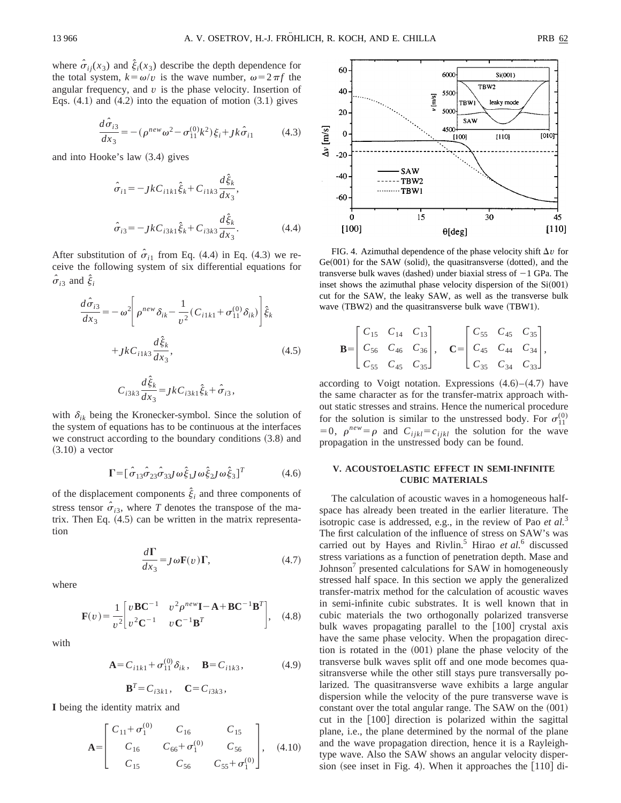where  $\hat{\sigma}_{ij}(x_3)$  and  $\hat{\xi}_i(x_3)$  describe the depth dependence for the total system,  $k = \omega/v$  is the wave number,  $\omega = 2 \pi f$  the angular frequency, and *v* is the phase velocity. Insertion of Eqs.  $(4.1)$  and  $(4.2)$  into the equation of motion  $(3.1)$  gives

$$
\frac{d\hat{\sigma}_{i3}}{dx_3} = -(\rho^{new}\omega^2 - \sigma_{11}^{(0)}k^2)\xi_i + Jk\hat{\sigma}_{i1}
$$
(4.3)

and into Hooke's law  $(3.4)$  gives

$$
\hat{\sigma}_{i1} = -j k C_{i1k1} \hat{\xi}_k + C_{i1k3} \frac{d \hat{\xi}_k}{dx_3},
$$
  

$$
\hat{\sigma}_{i3} = -j k C_{i3k1} \hat{\xi}_k + C_{i3k3} \frac{d \hat{\xi}_k}{dx_3}.
$$
 (4.4)

After substitution of  $\hat{\sigma}_{i1}$  from Eq. (4.4) in Eq. (4.3) we receive the following system of six differential equations for  $\hat{\sigma}_{i3}$  and  $\hat{\xi}_{i}$ 

$$
\frac{d\hat{\sigma}_{i3}}{dx_3} = -\omega^2 \left[ \rho^{new} \delta_{ik} - \frac{1}{v^2} (C_{i1k1} + \sigma_{11}^{(0)} \delta_{ik}) \right] \hat{\xi}_k
$$

$$
+ Jk C_{i1k3} \frac{d\hat{\xi}_k}{dx_3}, \qquad (4.5)
$$

$$
C_{i3k3}\frac{d\hat{\xi}_k}{dx_3} = JkC_{i3k1}\hat{\xi}_k + \hat{\sigma}_{i3},
$$

with  $\delta_{ik}$  being the Kronecker-symbol. Since the solution of the system of equations has to be continuous at the interfaces we construct according to the boundary conditions  $(3.8)$  and  $(3.10)$  a vector

$$
\Gamma = [\hat{\sigma}_{13}\hat{\sigma}_{23}\hat{\sigma}_{33}j\,\omega \hat{\xi}_1j\,\omega \hat{\xi}_2j\,\omega \hat{\xi}_3]^T \tag{4.6}
$$

of the displacement components  $\xi$ <sub>*i*</sub> and three components of stress tensor  $\hat{\sigma}_{i3}$ , where *T* denotes the transpose of the matrix. Then Eq.  $(4.5)$  can be written in the matrix representation

$$
\frac{d\Gamma}{dx_3} = J\omega \mathbf{F}(v)\Gamma,\tag{4.7}
$$

where

$$
\mathbf{F}(v) = \frac{1}{v^2} \begin{bmatrix} v \mathbf{B} \mathbf{C}^{-1} & v^2 \rho^{new} \mathbf{I} - \mathbf{A} + \mathbf{B} \mathbf{C}^{-1} \mathbf{B}^T \\ v^2 \mathbf{C}^{-1} & v \mathbf{C}^{-1} \mathbf{B}^T \end{bmatrix}, \quad (4.8)
$$

with

$$
\mathbf{A} = C_{i1k1} + \sigma_{11}^{(0)} \delta_{ik}, \quad \mathbf{B} = C_{i1k3}, \tag{4.9}
$$

$$
\mathbf{B}^T = C_{i3k1}, \quad \mathbf{C} = C_{i3k3},
$$

**I** being the identity matrix and

$$
\mathbf{A} = \begin{bmatrix} C_{11} + \sigma_1^{(0)} & C_{16} & C_{15} \\ C_{16} & C_{66} + \sigma_1^{(0)} & C_{56} \\ C_{15} & C_{56} & C_{55} + \sigma_1^{(0)} \end{bmatrix}, (4.10)
$$



FIG. 4. Azimuthal dependence of the phase velocity shift  $\Delta v$  for  $Ge(001)$  for the SAW (solid), the quasitransverse (dotted), and the transverse bulk waves (dashed) under biaxial stress of  $-1$  GPa. The inset shows the azimuthal phase velocity dispersion of the  $Si(001)$ cut for the SAW, the leaky SAW, as well as the transverse bulk wave  $(TBW2)$  and the quasitransverse bulk wave  $(TBW1)$ .

$$
\mathbf{B} = \begin{bmatrix} C_{15} & C_{14} & C_{13} \\ C_{56} & C_{46} & C_{36} \\ C_{55} & C_{45} & C_{35} \end{bmatrix}, \quad \mathbf{C} = \begin{bmatrix} C_{55} & C_{45} & C_{35} \\ C_{45} & C_{44} & C_{34} \\ C_{35} & C_{34} & C_{33} \end{bmatrix},
$$

according to Voigt notation. Expressions  $(4.6)$ – $(4.7)$  have the same character as for the transfer-matrix approach without static stresses and strains. Hence the numerical procedure for the solution is similar to the unstressed body. For  $\sigma_{11}^{(0)}$  $=0$ ,  $\rho^{new} = \rho$  and  $C_{ijkl} = c_{ijkl}$  the solution for the wave propagation in the unstressed body can be found.

# **V. ACOUSTOELASTIC EFFECT IN SEMI-INFINITE CUBIC MATERIALS**

The calculation of acoustic waves in a homogeneous halfspace has already been treated in the earlier literature. The isotropic case is addressed, e.g., in the review of Pao *et al.*<sup>3</sup> The first calculation of the influence of stress on SAW's was carried out by Hayes and Rivlin.<sup>5</sup> Hirao *et al.*<sup>6</sup> discussed stress variations as a function of penetration depth. Mase and Johnson<sup>7</sup> presented calculations for SAW in homogeneously stressed half space. In this section we apply the generalized transfer-matrix method for the calculation of acoustic waves in semi-infinite cubic substrates. It is well known that in cubic materials the two orthogonally polarized transverse bulk waves propagating parallel to the  $[100]$  crystal axis have the same phase velocity. When the propagation direction is rotated in the  $(001)$  plane the phase velocity of the transverse bulk waves split off and one mode becomes quasitransverse while the other still stays pure transversally polarized. The quasitransverse wave exhibits a large angular dispersion while the velocity of the pure transverse wave is constant over the total angular range. The SAW on the  $(001)$ cut in the  $[100]$  direction is polarized within the sagittal plane, i.e., the plane determined by the normal of the plane and the wave propagation direction, hence it is a Rayleightype wave. Also the SAW shows an angular velocity dispersion (see inset in Fig. 4). When it approaches the  $[110]$  di-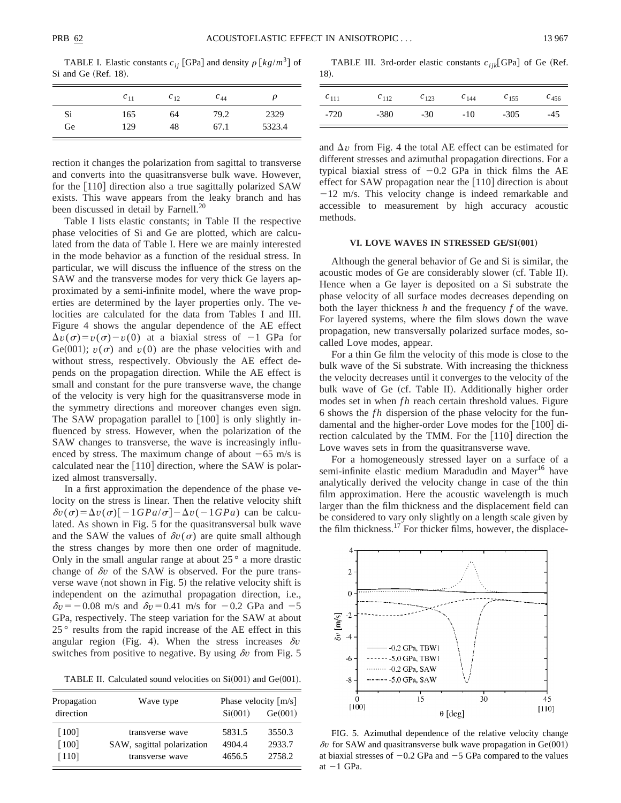TABLE I. Elastic constants  $c_{ij}$  [GPa] and density  $\rho \left[ k g / m^3 \right]$  of Si and Ge (Ref. 18).

|    | $c_{11}$ | $c_{12}$ | $c_{44}$ | ρ      |
|----|----------|----------|----------|--------|
| Si | 165      | 64       | 79.2     | 2329   |
| Ge | 129      | 48       | 67.1     | 5323.4 |

rection it changes the polarization from sagittal to transverse and converts into the quasitransverse bulk wave. However, for the  $[110]$  direction also a true sagittally polarized SAW exists. This wave appears from the leaky branch and has been discussed in detail by Farnell.<sup>20</sup>

Table I lists elastic constants; in Table II the respective phase velocities of Si and Ge are plotted, which are calculated from the data of Table I. Here we are mainly interested in the mode behavior as a function of the residual stress. In particular, we will discuss the influence of the stress on the SAW and the transverse modes for very thick Ge layers approximated by a semi-infinite model, where the wave properties are determined by the layer properties only. The velocities are calculated for the data from Tables I and III. Figure 4 shows the angular dependence of the AE effect  $\Delta v(\sigma) = v(\sigma) - v(0)$  at a biaxial stress of  $-1$  GPa for Ge(001);  $v(\sigma)$  and  $v(0)$  are the phase velocities with and without stress, respectively. Obviously the AE effect depends on the propagation direction. While the AE effect is small and constant for the pure transverse wave, the change of the velocity is very high for the quasitransverse mode in the symmetry directions and moreover changes even sign. The SAW propagation parallel to  $|100|$  is only slightly influenced by stress. However, when the polarization of the SAW changes to transverse, the wave is increasingly influenced by stress. The maximum change of about  $-65$  m/s is calculated near the  $[110]$  direction, where the SAW is polarized almost transversally.

In a first approximation the dependence of the phase velocity on the stress is linear. Then the relative velocity shift  $\delta v(\sigma) = \Delta v(\sigma) [-1GPa/\sigma] - \Delta v(-1GPa)$  can be calculated. As shown in Fig. 5 for the quasitransversal bulk wave and the SAW the values of  $\delta v(\sigma)$  are quite small although the stress changes by more then one order of magnitude. Only in the small angular range at about  $25^\circ$  a more drastic change of  $\delta v$  of the SAW is observed. For the pure transverse wave (not shown in Fig.  $5$ ) the relative velocity shift is independent on the azimuthal propagation direction, i.e.,  $\delta v = -0.08$  m/s and  $\delta v = 0.41$  m/s for  $-0.2$  GPa and  $-5$ GPa, respectively. The steep variation for the SAW at about 25 ° results from the rapid increase of the AE effect in this angular region (Fig. 4). When the stress increases  $\delta v$ switches from positive to negative. By using  $\delta v$  from Fig. 5

TABLE II. Calculated sound velocities on  $Si(001)$  and  $Ge(001)$ .

| Propagation         | Wave type                  | Phase velocity $\lceil m/s \rceil$ |         |  |
|---------------------|----------------------------|------------------------------------|---------|--|
| direction           |                            | Si(001)                            | Ge(001) |  |
| [100]               | transverse wave            | 5831.5                             | 3550.3  |  |
| $\lceil 100 \rceil$ | SAW, sagittal polarization | 4904.4                             | 2933.7  |  |
| $[110]$             | transverse wave            | 4656.5                             | 2758.2  |  |

TABLE III. 3rd-order elastic constants  $c_{ijk}$ [GPa] of Ge (Ref. 18).

| $c_{111}$ | $c_{112}$ | $c_{123}$ | $c_{144}$ | $c_{155}$ | $c_{456}$ |
|-----------|-----------|-----------|-----------|-----------|-----------|
| -720      | $-380$    | $-30$     | $-10$     | $-305$    | $-45$     |

and  $\Delta v$  from Fig. 4 the total AE effect can be estimated for different stresses and azimuthal propagation directions. For a typical biaxial stress of  $-0.2$  GPa in thick films the AE effect for SAW propagation near the  $[110]$  direction is about  $-12$  m/s. This velocity change is indeed remarkable and accessible to measurement by high accuracy acoustic methods.

#### **VI. LOVE WAVES IN STRESSED GE/SI(001)**

Although the general behavior of Ge and Si is similar, the acoustic modes of Ge are considerably slower (cf. Table II). Hence when a Ge layer is deposited on a Si substrate the phase velocity of all surface modes decreases depending on both the layer thickness *h* and the frequency *f* of the wave. For layered systems, where the film slows down the wave propagation, new transversally polarized surface modes, socalled Love modes, appear.

For a thin Ge film the velocity of this mode is close to the bulk wave of the Si substrate. With increasing the thickness the velocity decreases until it converges to the velocity of the bulk wave of Ge (cf. Table II). Additionally higher order modes set in when *fh* reach certain threshold values. Figure 6 shows the *f h* dispersion of the phase velocity for the fundamental and the higher-order Love modes for the  $|100|$  direction calculated by the TMM. For the  $[110]$  direction the Love waves sets in from the quasitransverse wave.

For a homogeneously stressed layer on a surface of a semi-infinite elastic medium Maradudin and Mayer $^{16}$  have analytically derived the velocity change in case of the thin film approximation. Here the acoustic wavelength is much larger than the film thickness and the displacement field can be considered to vary only slightly on a length scale given by the film thickness.<sup>17</sup> For thicker films, however, the displace-



FIG. 5. Azimuthal dependence of the relative velocity change  $\delta v$  for SAW and quasitransverse bulk wave propagation in Ge $(001)$ at biaxial stresses of  $-0.2$  GPa and  $-5$  GPa compared to the values at  $-1$  GPa.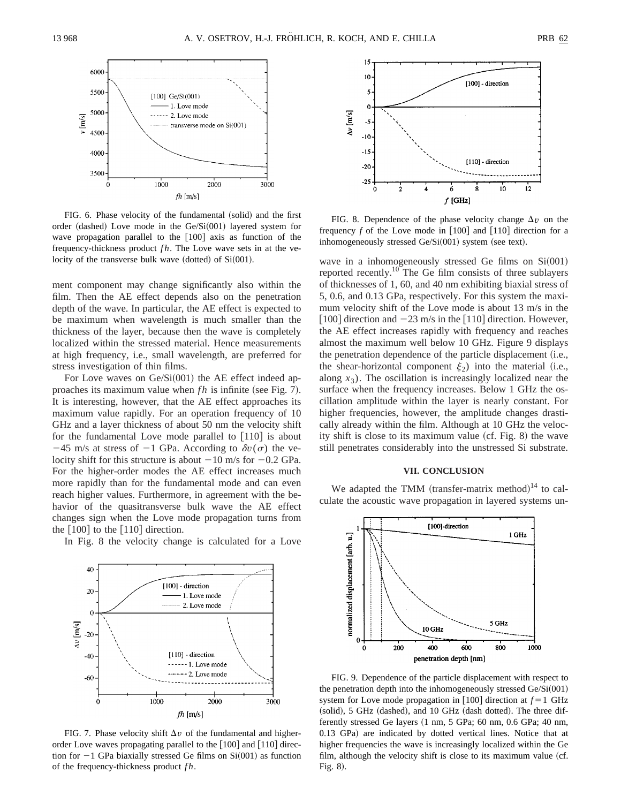

FIG. 6. Phase velocity of the fundamental (solid) and the first order (dashed) Love mode in the  $Ge/Si(001)$  layered system for wave propagation parallel to the  $[100]$  axis as function of the frequency-thickness product *fh*. The Love wave sets in at the velocity of the transverse bulk wave (dotted) of  $Si(001)$ .

ment component may change significantly also within the film. Then the AE effect depends also on the penetration depth of the wave. In particular, the AE effect is expected to be maximum when wavelength is much smaller than the thickness of the layer, because then the wave is completely localized within the stressed material. Hence measurements at high frequency, i.e., small wavelength, are preferred for stress investigation of thin films.

For Love waves on  $Ge/Si(001)$  the AE effect indeed approaches its maximum value when  $fh$  is infinite (see Fig. 7). It is interesting, however, that the AE effect approaches its maximum value rapidly. For an operation frequency of 10 GHz and a layer thickness of about 50 nm the velocity shift for the fundamental Love mode parallel to  $[110]$  is about  $-45$  m/s at stress of  $-1$  GPa. According to  $\delta v(\sigma)$  the velocity shift for this structure is about  $-10$  m/s for  $-0.2$  GPa. For the higher-order modes the AE effect increases much more rapidly than for the fundamental mode and can even reach higher values. Furthermore, in agreement with the behavior of the quasitransverse bulk wave the AE effect changes sign when the Love mode propagation turns from the  $\lceil 100 \rceil$  to the  $\lceil 110 \rceil$  direction.

In Fig. 8 the velocity change is calculated for a Love



FIG. 7. Phase velocity shift  $\Delta v$  of the fundamental and higherorder Love waves propagating parallel to the  $[100]$  and  $[110]$  direction for  $-1$  GPa biaxially stressed Ge films on Si $(001)$  as function of the frequency-thickness product *f h*.



FIG. 8. Dependence of the phase velocity change  $\Delta v$  on the frequency  $f$  of the Love mode in  $[100]$  and  $[110]$  direction for a inhomogeneously stressed  $Ge/Si(001)$  system (see text).

wave in a inhomogeneously stressed Ge films on  $Si(001)$ reported recently.<sup>10</sup> The Ge film consists of three sublayers of thicknesses of 1, 60, and 40 nm exhibiting biaxial stress of 5, 0.6, and 0.13 GPa, respectively. For this system the maximum velocity shift of the Love mode is about 13 m/s in the [100] direction and  $-23$  m/s in the [110] direction. However, the AE effect increases rapidly with frequency and reaches almost the maximum well below 10 GHz. Figure 9 displays the penetration dependence of the particle displacement  $(i.e.,$ the shear-horizontal component  $\xi_2$ ) into the material (i.e., along  $x_3$ ). The oscillation is increasingly localized near the surface when the frequency increases. Below 1 GHz the oscillation amplitude within the layer is nearly constant. For higher frequencies, however, the amplitude changes drastically already within the film. Although at 10 GHz the velocity shift is close to its maximum value  $(cf. Fig. 8)$  the wave still penetrates considerably into the unstressed Si substrate.

### **VII. CONCLUSION**

We adapted the TMM (transfer-matrix method) $14$  to calculate the acoustic wave propagation in layered systems un-



FIG. 9. Dependence of the particle displacement with respect to the penetration depth into the inhomogeneously stressed  $Ge/Si(001)$ system for Love mode propagation in  $[100]$  direction at  $f = 1$  GHz  $s$  (solid), 5 GHz (dashed), and 10 GHz (dash dotted). The three differently stressed Ge layers  $(1 \text{ nm}, 5 \text{ GPa}; 60 \text{ nm}, 0.6 \text{ GPa}; 40 \text{ nm},$ 0.13 GPa) are indicated by dotted vertical lines. Notice that at higher frequencies the wave is increasingly localized within the Ge film, although the velocity shift is close to its maximum value (cf. Fig.  $8$ ).